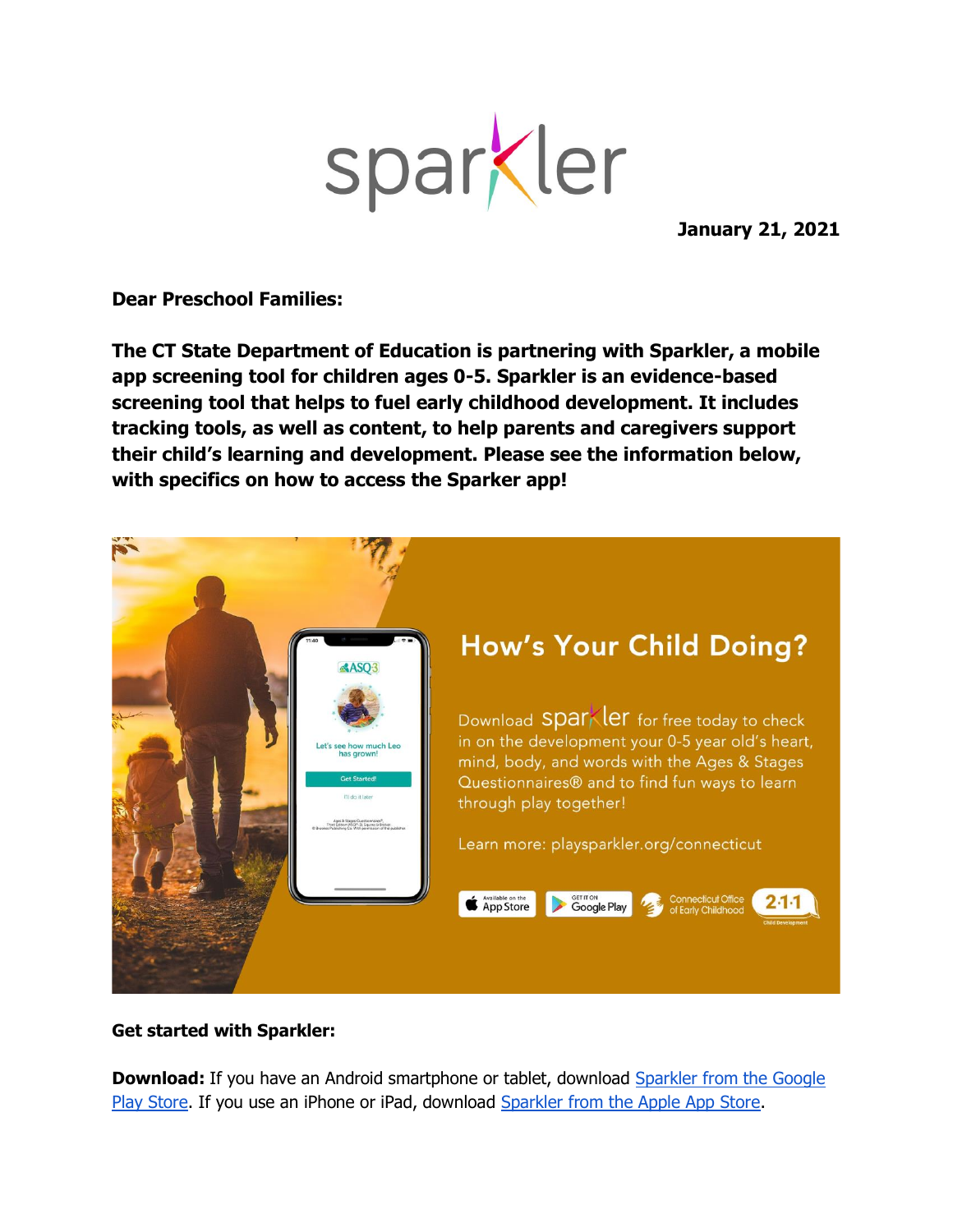

**January 21, 2021**

**Dear Preschool Families:**

**The CT State Department of Education is partnering with Sparkler, a mobile app screening tool for children ages 0-5. Sparkler is an evidence-based screening tool that helps to fuel early childhood development. It includes tracking tools, as well as content, to help parents and caregivers support their child's learning and development. Please see the information below, with specifics on how to access the Sparker app!**



## **Get started with Sparkler:**

**Download:** If you have an Android smartphone or tablet, download Sparkler from the Google [Play Store.](https://play.google.com/store/apps/details?id=com.mindful_inc.sparkler&hl=en_US&gl=US) If you use an iPhone or iPad, download [Sparkler from the Apple App Store.](https://apps.apple.com/us/app/sparkler-play-for-parenting/id1236766824)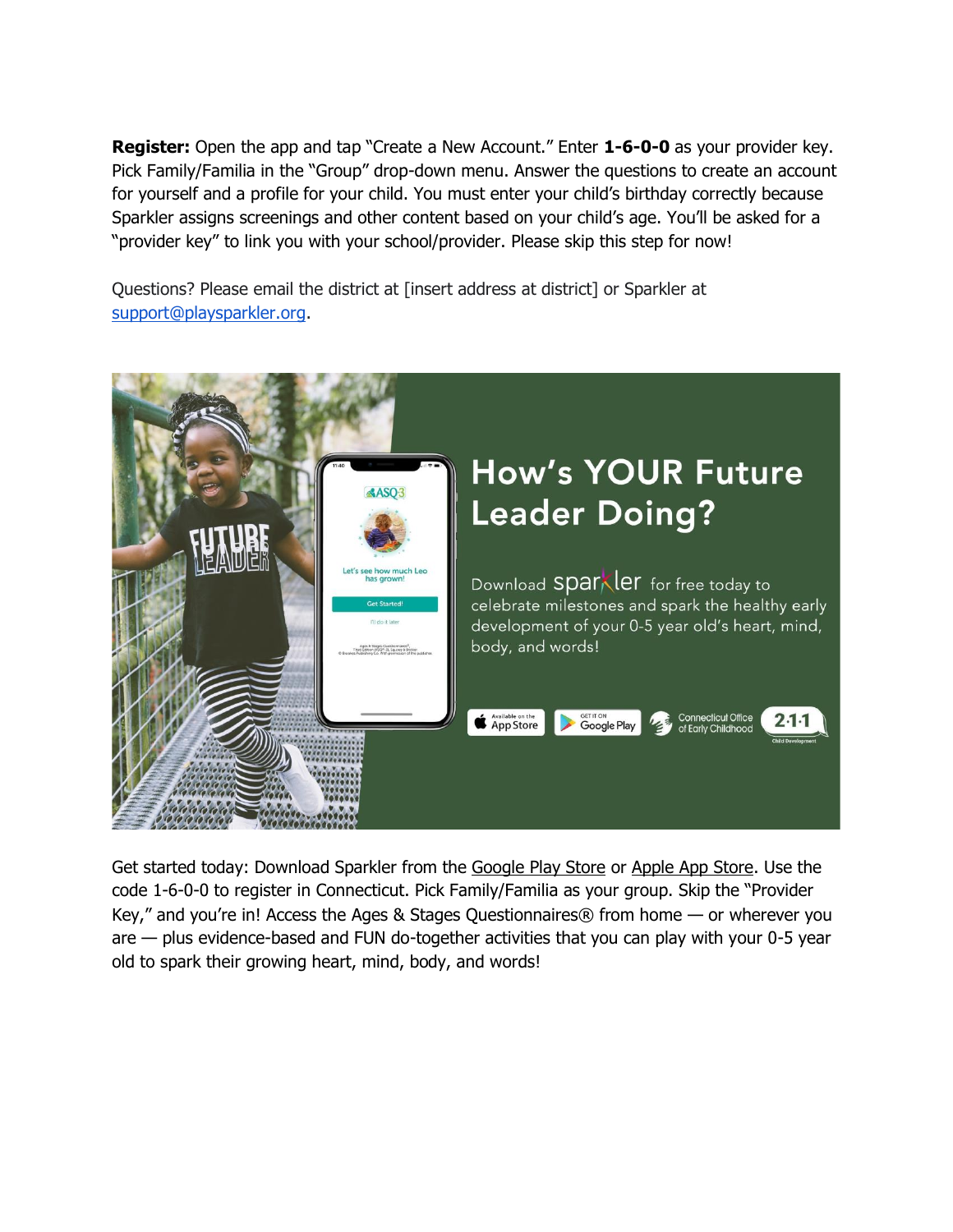**Register:** Open the app and tap "Create a New Account." Enter **1-6-0-0** as your provider key. Pick Family/Familia in the "Group" drop-down menu. Answer the questions to create an account for yourself and a profile for your child. You must enter your child's birthday correctly because Sparkler assigns screenings and other content based on your child's age. You'll be asked for a "provider key" to link you with your school/provider. Please skip this step for now!

Questions? Please email the district at [insert address at district] or Sparkler at [support@playsparkler.org.](mailto:support@playsparkler.org)



Get started today: Download Sparkler from the [Google Play Store](https://play.google.com/store/apps/details?id=com.mindful_inc.sparkler&hl=en_US&gl=US) or [Apple App Store.](https://apps.apple.com/us/app/sparkler-play-for-parenting/id1236766824) Use the code 1-6-0-0 to register in Connecticut. Pick Family/Familia as your group. Skip the "Provider Key," and you're in! Access the Ages & Stages Questionnaires® from home — or wherever you are — plus evidence-based and FUN do-together activities that you can play with your 0-5 year old to spark their growing heart, mind, body, and words!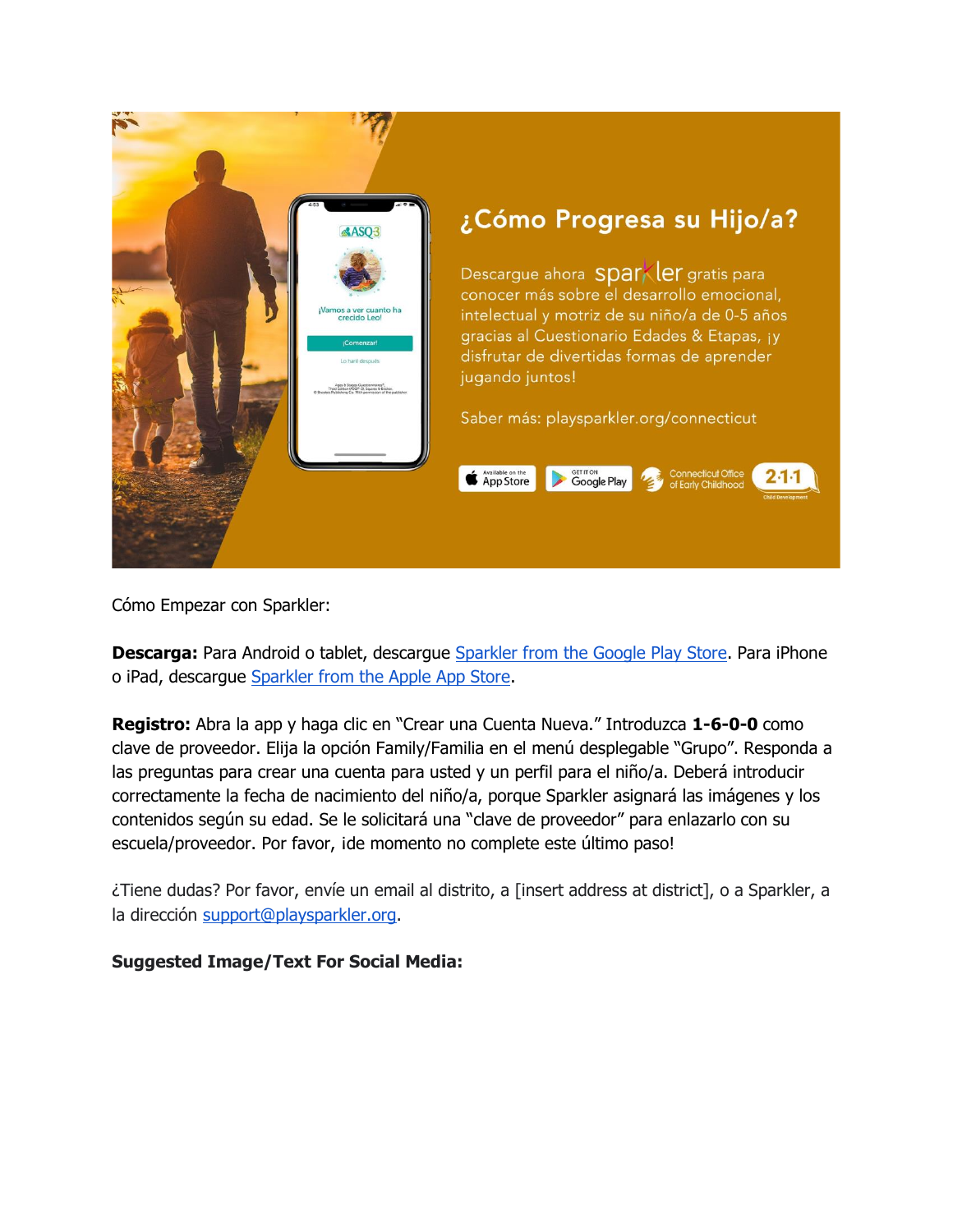

Cómo Empezar con Sparkler:

**Descarga:** Para Android o tablet, descargue [Sparkler from the Google Play Store.](https://play.google.com/store/apps/details?id=com.mindful_inc.sparkler&hl=en_US&gl=US) Para iPhone o iPad, descargue [Sparkler from the Apple App Store.](https://apps.apple.com/us/app/sparkler-play-for-parenting/id1236766824)

**Registro:** Abra la app y haga clic en "Crear una Cuenta Nueva." Introduzca **1-6-0-0** como clave de proveedor. Elija la opción Family/Familia en el menú desplegable "Grupo". Responda a las preguntas para crear una cuenta para usted y un perfil para el niño/a. Deberá introducir correctamente la fecha de nacimiento del niño/a, porque Sparkler asignará las imágenes y los contenidos según su edad. Se le solicitará una "clave de proveedor" para enlazarlo con su escuela/proveedor. Por favor, ide momento no complete este último paso!

¿Tiene dudas? Por favor, envíe un email al distrito, a [insert address at district], o a Sparkler, a la dirección [support@playsparkler.org.](mailto:support@playsparkler.org)

## **Suggested Image/Text For Social Media:**